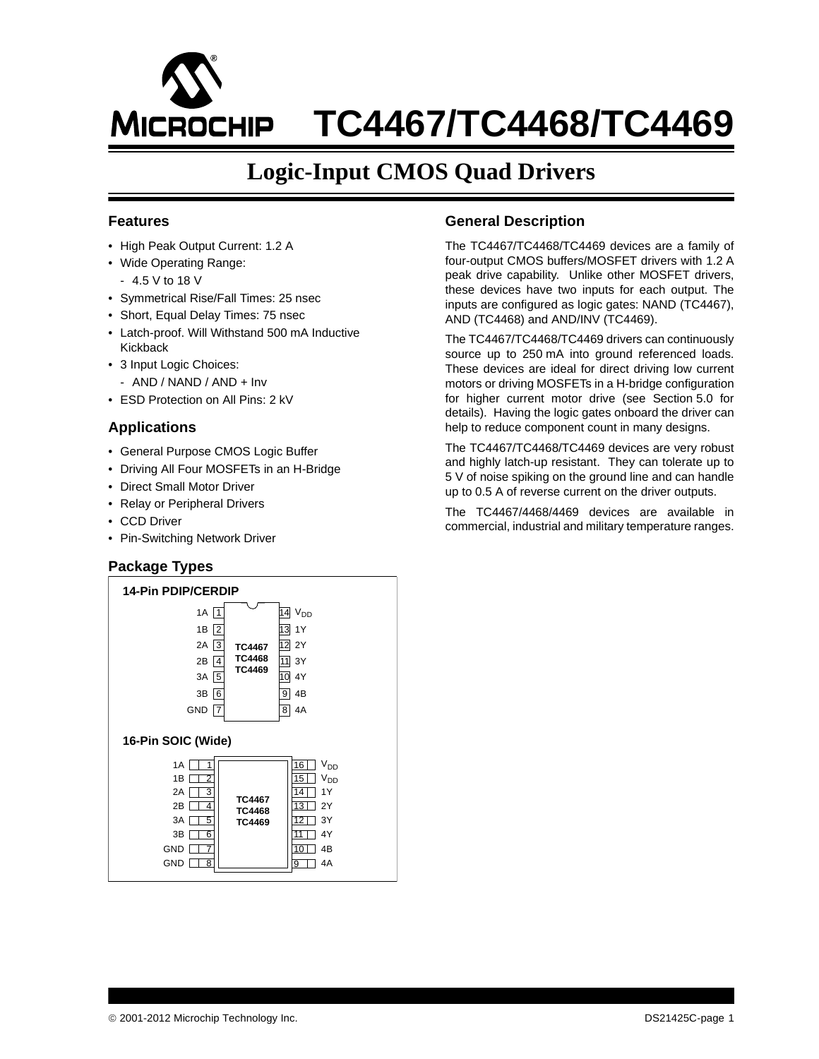# **TC4467/TC4468/TC4469 MICROCHIP**

## **Logic-Input CMOS Quad Drivers**

#### **Features**

- High Peak Output Current: 1.2 A
- Wide Operating Range:
- 4.5 V to 18 V
- Symmetrical Rise/Fall Times: 25 nsec
- Short, Equal Delay Times: 75 nsec
- Latch-proof. Will Withstand 500 mA Inductive Kickback
- 3 Input Logic Choices:
	- AND / NAND / AND + Inv
- ESD Protection on All Pins: 2 kV

### **Applications**

- General Purpose CMOS Logic Buffer
- Driving All Four MOSFETs in an H-Bridge
- Direct Small Motor Driver
- Relay or Peripheral Drivers
- CCD Driver
- Pin-Switching Network Driver

## **Package Types**



### **General Description**

The TC4467/TC4468/TC4469 devices are a family of four-output CMOS buffers/MOSFET drivers with 1.2 A peak drive capability. Unlike other MOSFET drivers, these devices have two inputs for each output. The inputs are configured as logic gates: NAND (TC4467), AND (TC4468) and AND/INV (TC4469).

The TC4467/TC4468/TC4469 drivers can continuously source up to 250 mA into ground referenced loads. These devices are ideal for direct driving low current motors or driving MOSFETs in a H-bridge configuration for higher current motor drive (see [Section 5.0](#page-10-0) for details). Having the logic gates onboard the driver can help to reduce component count in many designs.

The TC4467/TC4468/TC4469 devices are very robust and highly latch-up resistant. They can tolerate up to 5 V of noise spiking on the ground line and can handle up to 0.5 A of reverse current on the driver outputs.

The TC4467/4468/4469 devices are available in commercial, industrial and military temperature ranges.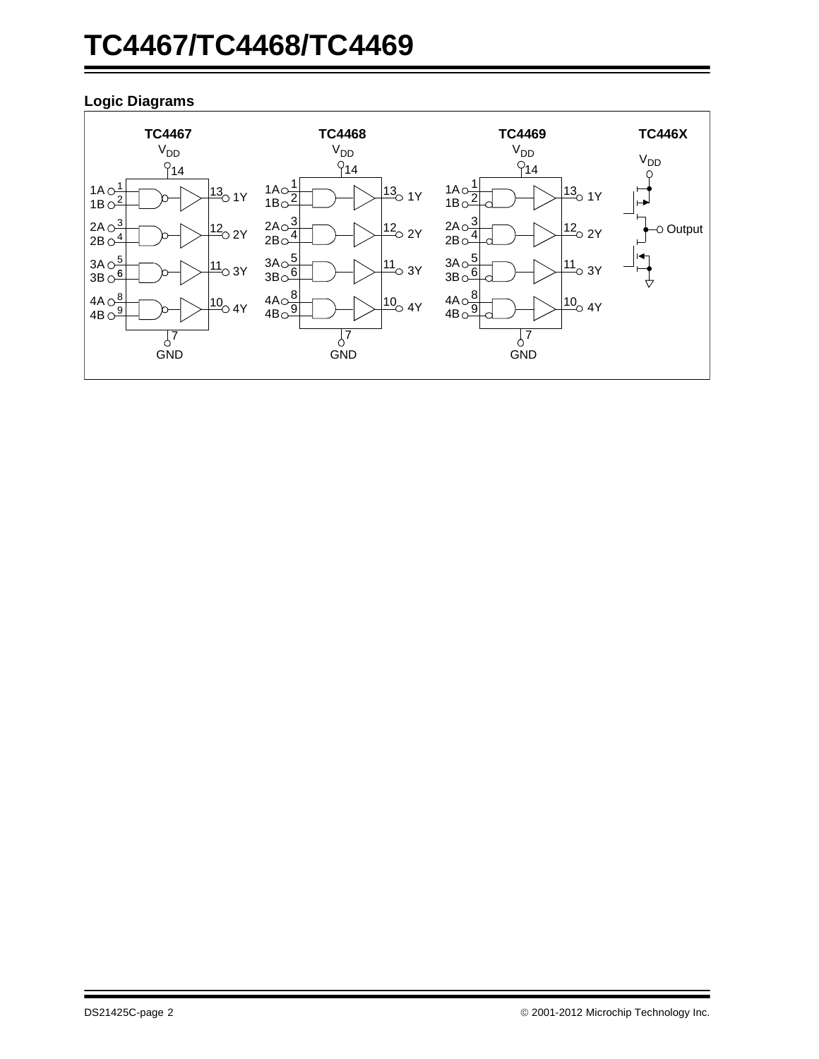## **TC4467/TC4468/TC4469**

## **Logic Diagrams**

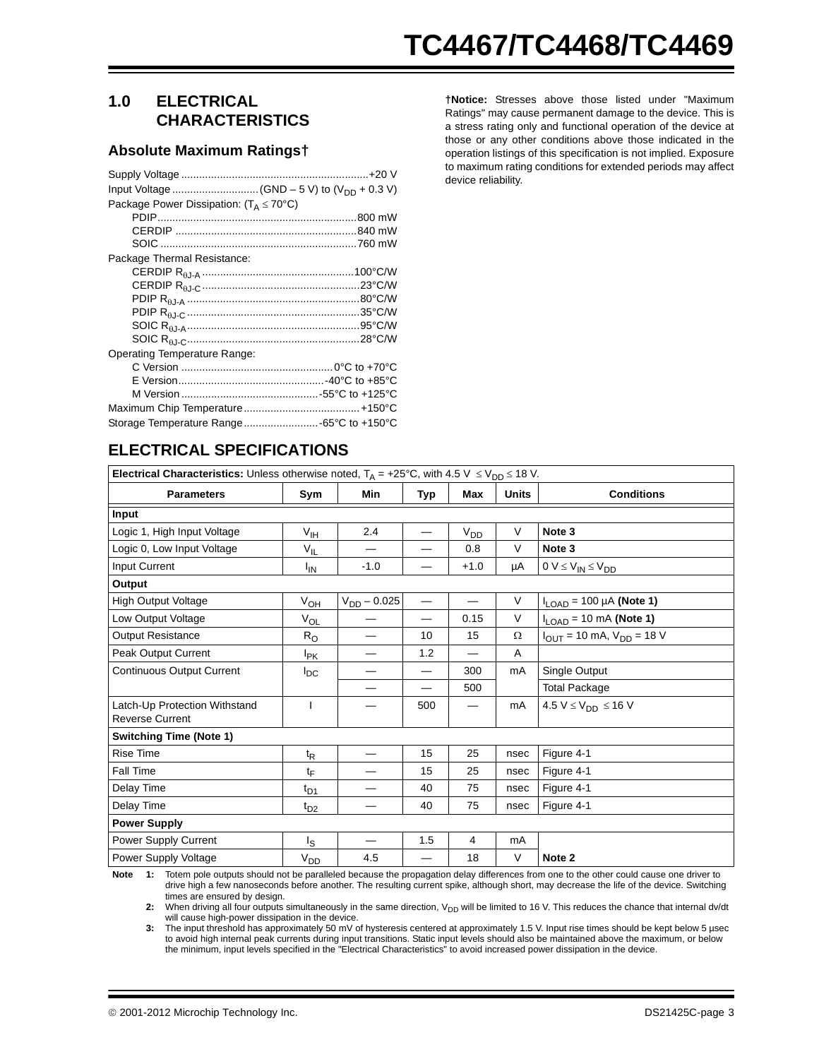## **1.0 ELECTRICAL CHARACTERISTICS**

#### **Absolute Maximum Ratings†**

| Package Power Dissipation: $(T_{\Delta} \le 70^{\circ}C)$ |  |
|-----------------------------------------------------------|--|
|                                                           |  |
|                                                           |  |
|                                                           |  |
| Package Thermal Resistance:                               |  |
|                                                           |  |
|                                                           |  |
|                                                           |  |
|                                                           |  |
|                                                           |  |
|                                                           |  |
| Operating Temperature Range:                              |  |
|                                                           |  |
|                                                           |  |
|                                                           |  |
|                                                           |  |
| Storage Temperature Range -65°C to +150°C                 |  |

**†Notice:** Stresses above those listed under "Maximum Ratings" may cause permanent damage to the device. This is a stress rating only and functional operation of the device at those or any other conditions above those indicated in the operation listings of this specification is not implied. Exposure to maximum rating conditions for extended periods may affect device reliability.

| <b>Electrical Characteristics:</b> Unless otherwise noted, $T_A = +25^{\circ}C$ , with 4.5 V $\leq V_{DD} \leq 18$ V. |                 |                          |                 |                          |              |                                                                                                                                               |  |  |
|-----------------------------------------------------------------------------------------------------------------------|-----------------|--------------------------|-----------------|--------------------------|--------------|-----------------------------------------------------------------------------------------------------------------------------------------------|--|--|
| <b>Parameters</b>                                                                                                     | Sym             | Min                      | Typ             | Max                      | <b>Units</b> | <b>Conditions</b>                                                                                                                             |  |  |
| Input                                                                                                                 |                 |                          |                 |                          |              |                                                                                                                                               |  |  |
| Logic 1, High Input Voltage                                                                                           | V <sub>IH</sub> | 2.4                      |                 | $V_{DD}$                 | $\vee$       | Note 3                                                                                                                                        |  |  |
| Logic 0, Low Input Voltage                                                                                            | $V_{\vert L}$   |                          |                 | 0.8                      | V            | Note 3                                                                                                                                        |  |  |
| Input Current                                                                                                         | <sup>I</sup> IN | $-1.0$                   |                 | $+1.0$                   | μA           | $0 V \leq V_{IN} \leq V_{DD}$                                                                                                                 |  |  |
| Output                                                                                                                |                 |                          |                 |                          |              |                                                                                                                                               |  |  |
| <b>High Output Voltage</b>                                                                                            | $V_{OH}$        | $V_{DD} - 0.025$         |                 | $\qquad \qquad -$        | V            | $I_{LOAD}$ = 100 µA (Note 1)                                                                                                                  |  |  |
| Low Output Voltage                                                                                                    | $V_{OL}$        |                          | $\qquad \qquad$ | 0.15                     | V            | $I_{LOAD}$ = 10 mA (Note 1)                                                                                                                   |  |  |
| <b>Output Resistance</b>                                                                                              | $R_{\rm O}$     |                          | 10              | 15                       | $\Omega$     | $I_{OUT}$ = 10 mA, $V_{DD}$ = 18 V                                                                                                            |  |  |
| Peak Output Current                                                                                                   | $I_{PK}$        |                          | 1.2             | —                        | A            |                                                                                                                                               |  |  |
| <b>Continuous Output Current</b>                                                                                      | $I_{DC}$        |                          | —               | 300                      | mA           | Single Output                                                                                                                                 |  |  |
|                                                                                                                       |                 | $\overline{\phantom{0}}$ | $\qquad \qquad$ | 500                      |              | <b>Total Package</b>                                                                                                                          |  |  |
| Latch-Up Protection Withstand<br><b>Reverse Current</b>                                                               | I               | —                        | 500             | $\overline{\phantom{0}}$ | mA           | 4.5 $V \leq V_{DD} \leq 16$ V                                                                                                                 |  |  |
| <b>Switching Time (Note 1)</b>                                                                                        |                 |                          |                 |                          |              |                                                                                                                                               |  |  |
| <b>Rise Time</b>                                                                                                      | t <sub>R</sub>  | $\overline{\phantom{0}}$ | 15              | 25                       | nsec         | Figure 4-1                                                                                                                                    |  |  |
| Fall Time                                                                                                             | t⊧              |                          | 15              | 25                       | nsec         | Figure 4-1                                                                                                                                    |  |  |
| Delay Time                                                                                                            | $t_{D1}$        |                          | 40              | 75                       | nsec         | Figure 4-1                                                                                                                                    |  |  |
| Delay Time                                                                                                            | $t_{D2}$        |                          | 40              | 75                       | nsec         | Figure 4-1                                                                                                                                    |  |  |
| <b>Power Supply</b>                                                                                                   |                 |                          |                 |                          |              |                                                                                                                                               |  |  |
| Power Supply Current                                                                                                  | ls.             | $\overline{\phantom{0}}$ | 1.5             | 4                        | mA           |                                                                                                                                               |  |  |
| <b>Power Supply Voltage</b>                                                                                           | V <sub>DD</sub> | 4.5                      |                 | 18                       | $\vee$       | Note 2                                                                                                                                        |  |  |
|                                                                                                                       |                 |                          |                 |                          |              | Note 1: Totem pole outputs should not be paralleled because the propagation delay differences from one to the other could cause one driver to |  |  |

<span id="page-2-1"></span><span id="page-2-0"></span>**Note 1:** Totem pole outputs should not be paralleled because the propagation delay differences from one to the other could cause one driver to drive high a few nanoseconds before another. The resulting current spike, although short, may decrease the life of the device. Switching times are ensured by design.

**2:** When driving all four outputs simultaneously in the same direction, V<sub>DD</sub> will be limited to 16 V. This reduces the chance that internal dv/dt will cause high-power dissipation in the device.

<span id="page-2-2"></span>**3:** The input threshold has approximately 50 mV of hysteresis centered at approximately 1.5 V. Input rise times should be kept below 5 µsec to avoid high internal peak currents during input transitions. Static input levels should also be maintained above the maximum, or below the minimum, input levels specified in the "Electrical Characteristics" to avoid increased power dissipation in the device.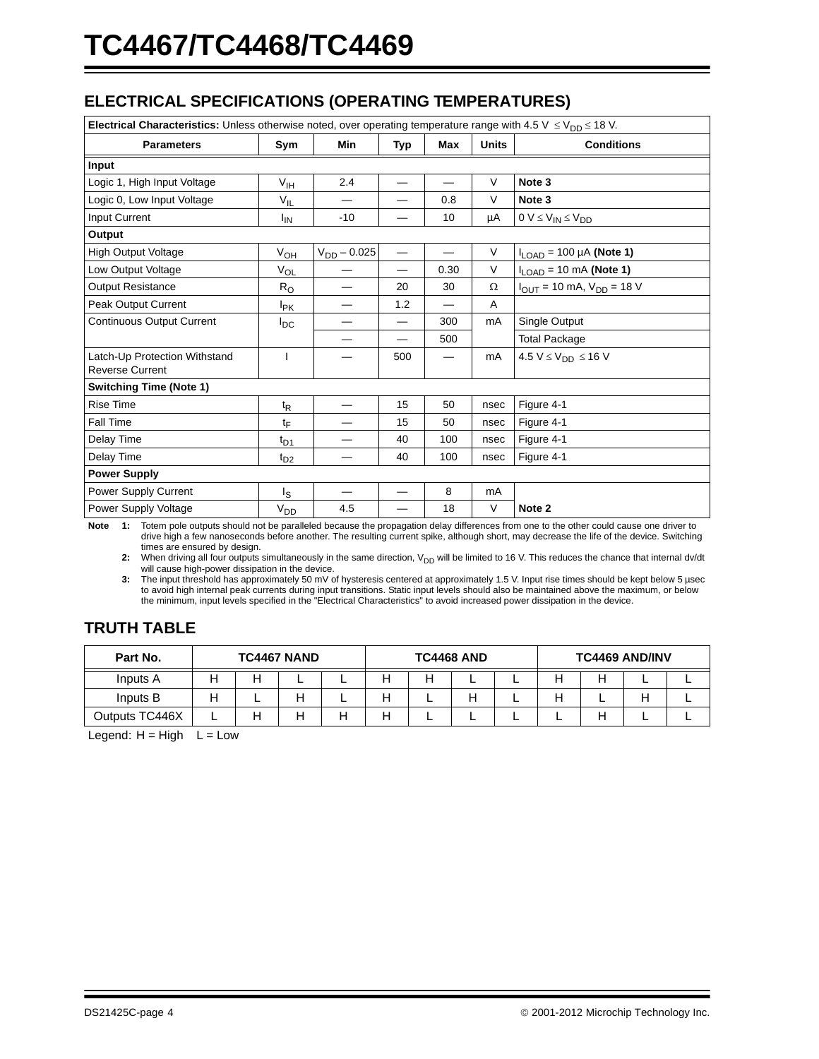## **ELECTRICAL SPECIFICATIONS (OPERATING TEMPERATURES)**

| Electrical Characteristics: Unless otherwise noted, over operating temperature range with 4.5 V $\leq$ V <sub>DD</sub> $\leq$ 18 V. |                   |                          |                          |                                   |              |                                    |  |  |
|-------------------------------------------------------------------------------------------------------------------------------------|-------------------|--------------------------|--------------------------|-----------------------------------|--------------|------------------------------------|--|--|
| <b>Parameters</b>                                                                                                                   | Sym               | <b>Min</b>               | Typ                      | Max                               | <b>Units</b> | <b>Conditions</b>                  |  |  |
| Input                                                                                                                               |                   |                          |                          |                                   |              |                                    |  |  |
| Logic 1, High Input Voltage                                                                                                         | $V_{\text{IH}}$   | 2.4                      |                          |                                   | $\vee$       | Note 3                             |  |  |
| Logic 0, Low Input Voltage                                                                                                          | $V_{\parallel L}$ | $\overline{\phantom{0}}$ | $\overline{\phantom{0}}$ | 0.8                               | V            | Note 3                             |  |  |
| Input Current                                                                                                                       | ŀıΝ               | $-10$                    |                          | 10                                | μA           | $0 V \leq V_{IN} \leq V_{DD}$      |  |  |
| Output                                                                                                                              |                   |                          |                          |                                   |              |                                    |  |  |
| <b>High Output Voltage</b>                                                                                                          | $V_{OH}$          | $V_{DD} - 0.025$         |                          | $\overline{\phantom{0}}$          | $\vee$       | $I_{LOAD}$ = 100 µA (Note 1)       |  |  |
| Low Output Voltage                                                                                                                  | $V_{OL}$          |                          | $\overline{\phantom{0}}$ | 0.30                              | $\vee$       | $I_{LOAD}$ = 10 mA (Note 1)        |  |  |
| <b>Output Resistance</b>                                                                                                            | $R_{\rm O}$       | —                        | 20                       | 30                                | $\Omega$     | $I_{OUT}$ = 10 mA, $V_{DD}$ = 18 V |  |  |
| Peak Output Current                                                                                                                 | $I_{\mathsf{PK}}$ | $\overline{\phantom{0}}$ | 1.2                      | $\equiv$                          | A            |                                    |  |  |
| <b>Continuous Output Current</b>                                                                                                    | $I_{DC}$          |                          | $\equiv$                 | 300                               | mA           | Single Output                      |  |  |
|                                                                                                                                     |                   |                          |                          | 500                               |              | <b>Total Package</b>               |  |  |
| Latch-Up Protection Withstand<br><b>Reverse Current</b>                                                                             | T                 |                          | 500                      | $\overline{\phantom{0}}$          | mA           | 4.5 $V \leq V_{DD} \leq 16$ V      |  |  |
| <b>Switching Time (Note 1)</b>                                                                                                      |                   |                          |                          |                                   |              |                                    |  |  |
| <b>Rise Time</b>                                                                                                                    | $t_{\mathsf{R}}$  |                          | 15                       | 50                                | nsec         | Figure 4-1                         |  |  |
| Fall Time                                                                                                                           | tF                |                          | 15                       | 50                                | nsec         | Figure 4-1                         |  |  |
| Delay Time                                                                                                                          | $t_{D1}$          |                          | 40                       | 100                               | nsec         | Figure 4-1                         |  |  |
| Delay Time                                                                                                                          | $t_{D2}$          |                          | 40                       | 100                               | nsec         | Figure 4-1                         |  |  |
| <b>Power Supply</b>                                                                                                                 |                   |                          |                          |                                   |              |                                    |  |  |
| Power Supply Current                                                                                                                | ls                |                          |                          | 8                                 | mA           |                                    |  |  |
| Power Supply Voltage                                                                                                                | $V_{DD}$          | 4.5<br>$\cdots$          |                          | 18<br>$\cdot$ $\cdot$<br>$\cdots$ | V            | Note 2<br>$\cdot$ $\cdot$          |  |  |

<span id="page-3-1"></span><span id="page-3-0"></span>**Note 1:** Totem pole outputs should not be paralleled because the propagation delay differences from one to the other could cause one driver to drive high a few nanoseconds before another. The resulting current spike, although short, may decrease the life of the device. Switching times are ensured by design.

2: When driving all four outputs simultaneously in the same direction, V<sub>DD</sub> will be limited to 16 V. This reduces the chance that internal dv/dt will cause high-power dissipation in the device.

<span id="page-3-2"></span>**3:** The input threshold has approximately 50 mV of hysteresis centered at approximately 1.5 V. Input rise times should be kept below 5 µsec to avoid high internal peak currents during input transitions. Static input levels should also be maintained above the maximum, or below the minimum, input levels specified in the "Electrical Characteristics" to avoid increased power dissipation in the device.

## **TRUTH TABLE**

| Part No.       | <b>TC4467 NAND</b> |  |   | <b>TC4468 AND</b> |   |   | <b>TC4469 AND/INV</b> |  |  |  |  |  |
|----------------|--------------------|--|---|-------------------|---|---|-----------------------|--|--|--|--|--|
| Inputs A       |                    |  | - | -                 |   |   | -                     |  |  |  |  |  |
| Inputs B       |                    |  |   | ╌                 | п | − | п                     |  |  |  |  |  |
| Outputs TC446X | -                  |  |   |                   |   | - | -                     |  |  |  |  |  |

Legend:  $H = High \t L = Low$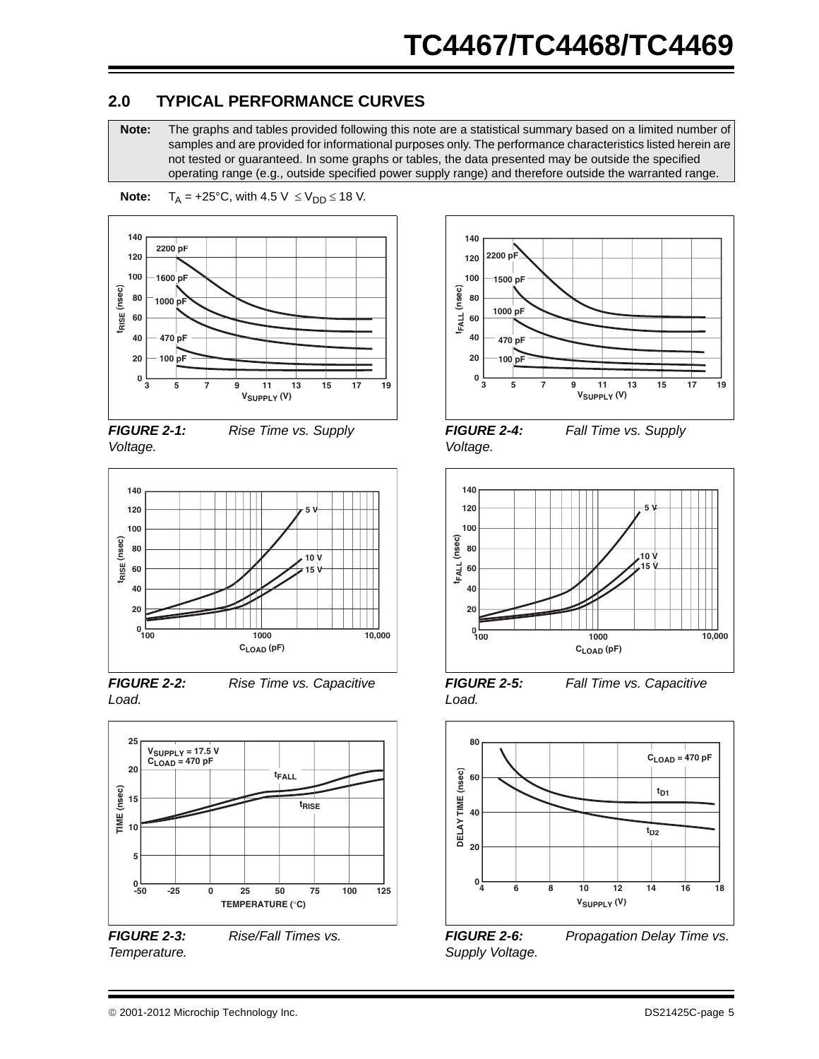## **2.0 TYPICAL PERFORMANCE CURVES**

**Note:** The graphs and tables provided following this note are a statistical summary based on a limited number of samples and are provided for informational purposes only. The performance characteristics listed herein are not tested or guaranteed. In some graphs or tables, the data presented may be outside the specified operating range (e.g., outside specified power supply range) and therefore outside the warranted range.





*FIGURE 2-1: Rise Time vs. Supply Voltage.*



*FIGURE 2-2: Rise Time vs. Capacitive Load.*



*FIGURE 2-3: Rise/Fall Times vs. Temperature.*



*FIGURE 2-4: Fall Time vs. Supply Voltage.*



*FIGURE 2-5: Fall Time vs. Capacitive Load.*



*FIGURE 2-6: Propagation Delay Time vs. Supply Voltage.*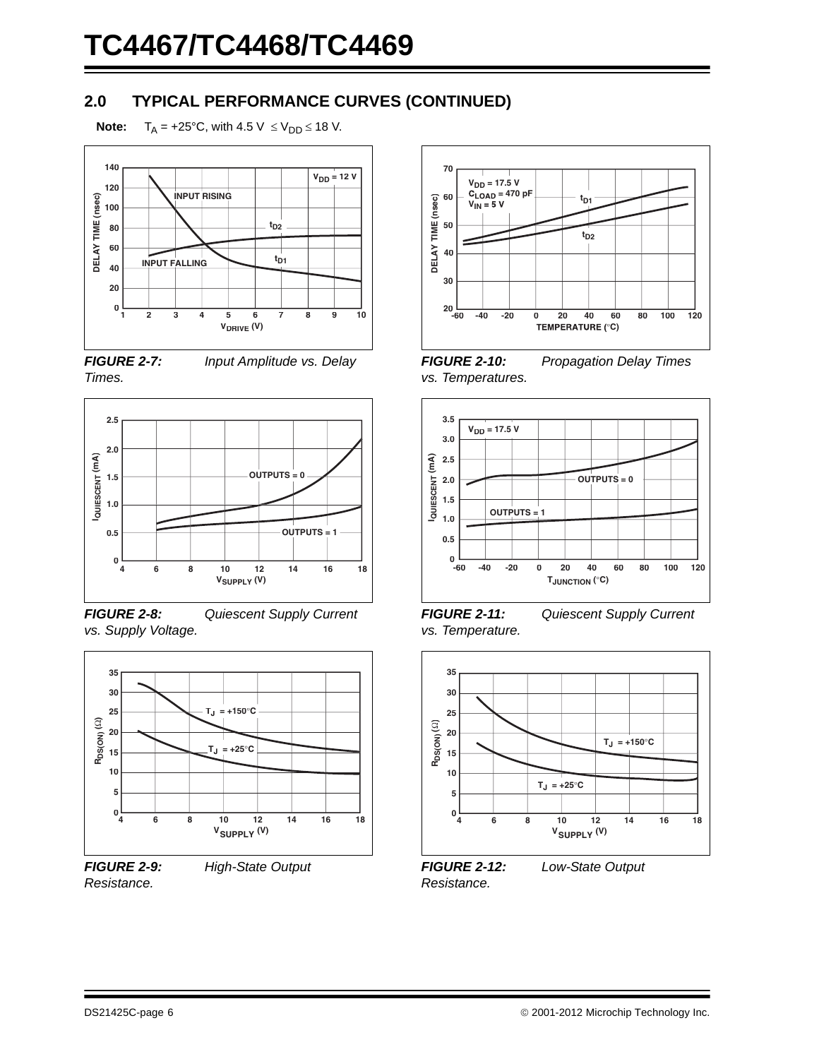## **2.0 TYPICAL PERFORMANCE CURVES (CONTINUED)**

**Note:**  $T_A = +25^{\circ}C$ , with  $4.5 \text{ V } \leq V_{DD} \leq 18 \text{ V}$ .



*FIGURE 2-7: Input Amplitude vs. Delay Times.*



*FIGURE 2-8: Quiescent Supply Current vs. Supply Voltage.*



*Resistance.*

*FIGURE 2-9: High-State Output* 



*FIGURE 2-10: Propagation Delay Times vs. Temperatures.*



*FIGURE 2-11: Quiescent Supply Current vs. Temperature.*



*FIGURE 2-12: Low-State Output Resistance.*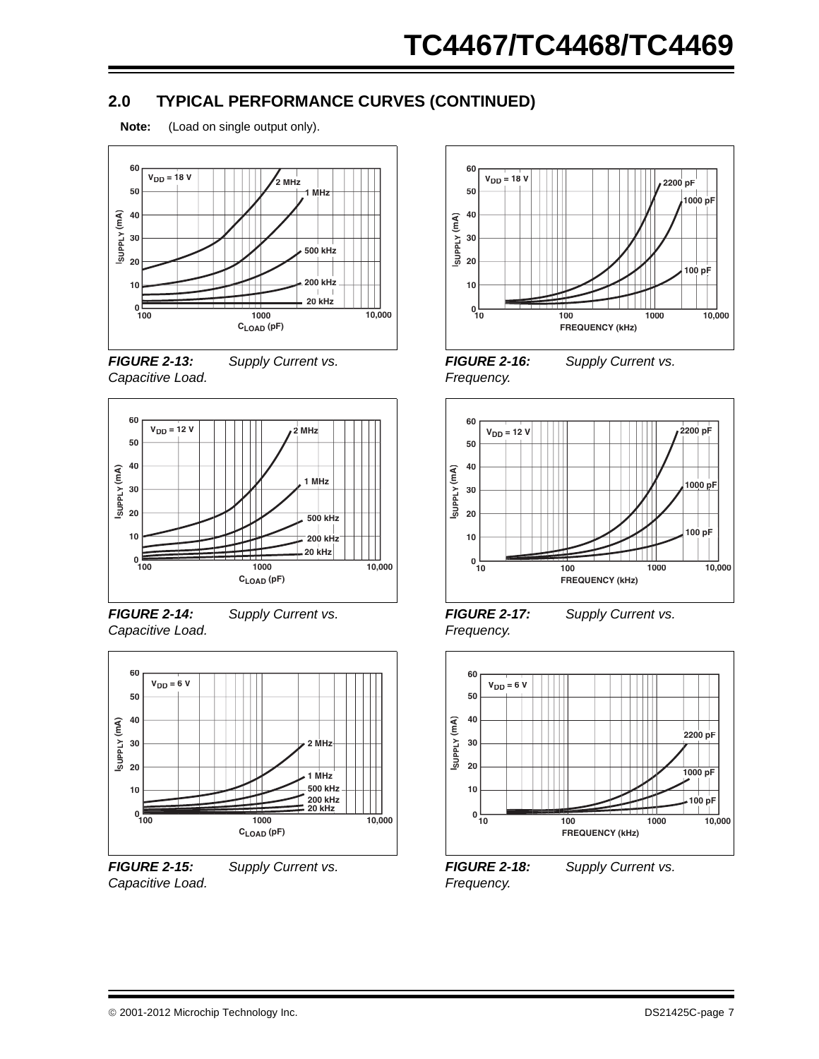## **2.0 TYPICAL PERFORMANCE CURVES (CONTINUED)**





*FIGURE 2-13: Supply Current vs. Capacitive Load.*



*FIGURE 2-14: Supply Current vs. Capacitive Load.*



*Capacitive Load.*

*FIGURE 2-15: Supply Current vs.* 





*Frequency.*

**ISUPPLY (mA)**

SUPPLY (MA)

*FIGURE 2-17: Supply Current vs.* 



*Frequency.*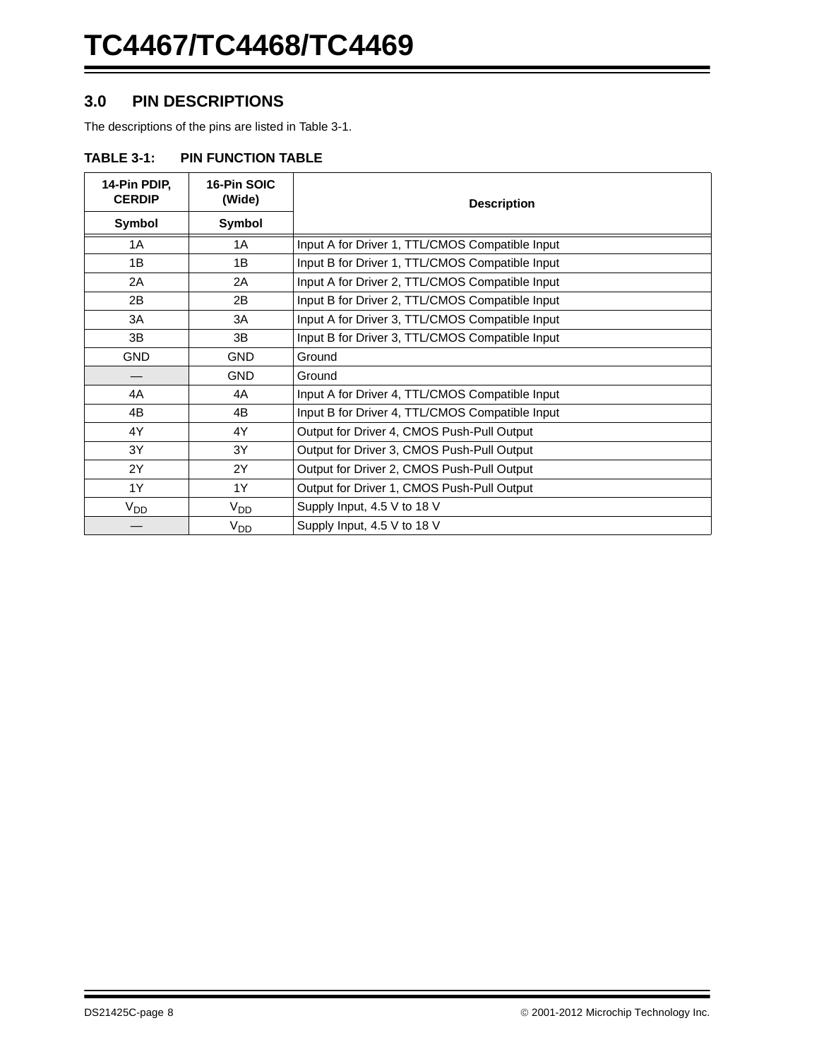## **3.0 PIN DESCRIPTIONS**

The descriptions of the pins are listed in [Table 3-1.](#page-7-0)

#### <span id="page-7-0"></span>**TABLE 3-1: PIN FUNCTION TABLE**

| 14-Pin PDIP.<br><b>CERDIP</b> | 16-Pin SOIC<br>(Wide) | <b>Description</b>                              |  |
|-------------------------------|-----------------------|-------------------------------------------------|--|
| Symbol                        | Symbol                |                                                 |  |
| 1A                            | 1A                    | Input A for Driver 1, TTL/CMOS Compatible Input |  |
| 1B                            | 1B                    | Input B for Driver 1, TTL/CMOS Compatible Input |  |
| 2A                            | 2A                    | Input A for Driver 2, TTL/CMOS Compatible Input |  |
| 2B                            | 2B                    | Input B for Driver 2, TTL/CMOS Compatible Input |  |
| 3A                            | 3A                    | Input A for Driver 3, TTL/CMOS Compatible Input |  |
| 3B                            | 3B                    | Input B for Driver 3, TTL/CMOS Compatible Input |  |
| <b>GND</b>                    | <b>GND</b>            | Ground                                          |  |
|                               | <b>GND</b>            | Ground                                          |  |
| 4A                            | 4A                    | Input A for Driver 4, TTL/CMOS Compatible Input |  |
| 4B                            | 4B                    | Input B for Driver 4, TTL/CMOS Compatible Input |  |
| 4Y                            | 4Y                    | Output for Driver 4, CMOS Push-Pull Output      |  |
| 3Y                            | 3Y                    | Output for Driver 3, CMOS Push-Pull Output      |  |
| 2Y                            | 2Y                    | Output for Driver 2, CMOS Push-Pull Output      |  |
| 1Y                            | 1Y                    | Output for Driver 1, CMOS Push-Pull Output      |  |
| $V_{DD}$                      | V <sub>DD</sub>       | Supply Input, 4.5 V to 18 V                     |  |
|                               | V <sub>DD</sub>       | Supply Input, 4.5 V to 18 V                     |  |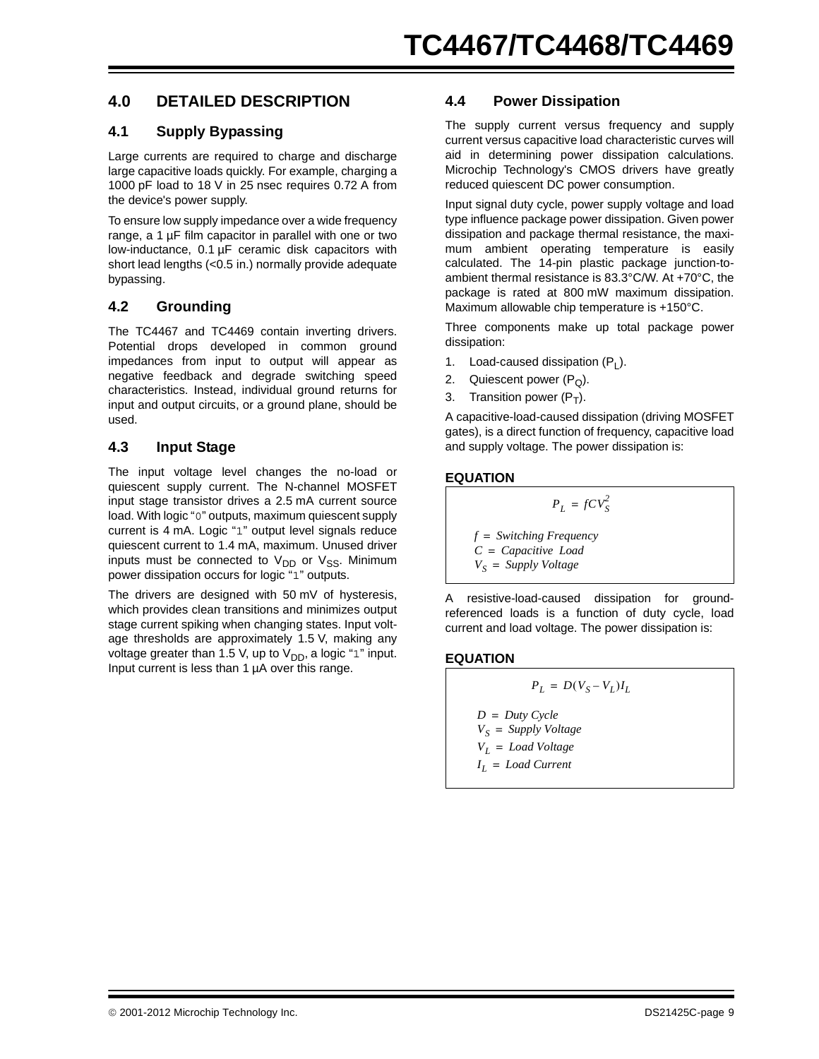## **4.0 DETAILED DESCRIPTION**

#### **4.1 Supply Bypassing**

Large currents are required to charge and discharge large capacitive loads quickly. For example, charging a 1000 pF load to 18 V in 25 nsec requires 0.72 A from the device's power supply.

To ensure low supply impedance over a wide frequency range, a 1 µF film capacitor in parallel with one or two low-inductance, 0.1 µF ceramic disk capacitors with short lead lengths (<0.5 in.) normally provide adequate bypassing.

#### **4.2 Grounding**

The TC4467 and TC4469 contain inverting drivers. Potential drops developed in common ground impedances from input to output will appear as negative feedback and degrade switching speed characteristics. Instead, individual ground returns for input and output circuits, or a ground plane, should be used.

#### **4.3 Input Stage**

The input voltage level changes the no-load or quiescent supply current. The N-channel MOSFET input stage transistor drives a 2.5 mA current source load. With logic "0" outputs, maximum quiescent supply current is 4 mA. Logic "1" output level signals reduce quiescent current to 1.4 mA, maximum. Unused driver inputs must be connected to  $V_{DD}$  or  $V_{SS}$ . Minimum power dissipation occurs for logic "1" outputs.

The drivers are designed with 50 mV of hysteresis, which provides clean transitions and minimizes output stage current spiking when changing states. Input voltage thresholds are approximately 1.5 V, making any voltage greater than 1.5 V, up to  $V_{DD}$ , a logic "1" input. Input current is less than 1 µA over this range.

#### **4.4 Power Dissipation**

The supply current versus frequency and supply current versus capacitive load characteristic curves will aid in determining power dissipation calculations. Microchip Technology's CMOS drivers have greatly reduced quiescent DC power consumption.

Input signal duty cycle, power supply voltage and load type influence package power dissipation. Given power dissipation and package thermal resistance, the maximum ambient operating temperature is easily calculated. The 14-pin plastic package junction-toambient thermal resistance is 83.3°C/W. At +70°C, the package is rated at 800 mW maximum dissipation. Maximum allowable chip temperature is +150°C.

Three components make up total package power dissipation:

- 1. Load-caused dissipation  $(P_1)$ .
- 2. Quiescent power  $(P<sub>O</sub>)$ .
- 3. Transition power  $(P_T)$ .

A capacitive-load-caused dissipation (driving MOSFET gates), is a direct function of frequency, capacitive load and supply voltage. The power dissipation is:

#### **EQUATION**

 $V_S$ 

$$
P_L = fCV_S^2
$$
  

$$
f = Switching Frequency
$$
  

$$
C = Capacity Load
$$
  

$$
V_S = Supply Voltage
$$

A resistive-load-caused dissipation for groundreferenced loads is a function of duty cycle, load current and load voltage. The power dissipation is:

#### **EQUATION**

$$
P_L = D(V_S - V_L)I_L
$$

- $D = Duty$  *Cycle*  $V_s =$  *Supply Voltage VL* = *Load Voltage*
- *IL* = *Load Current*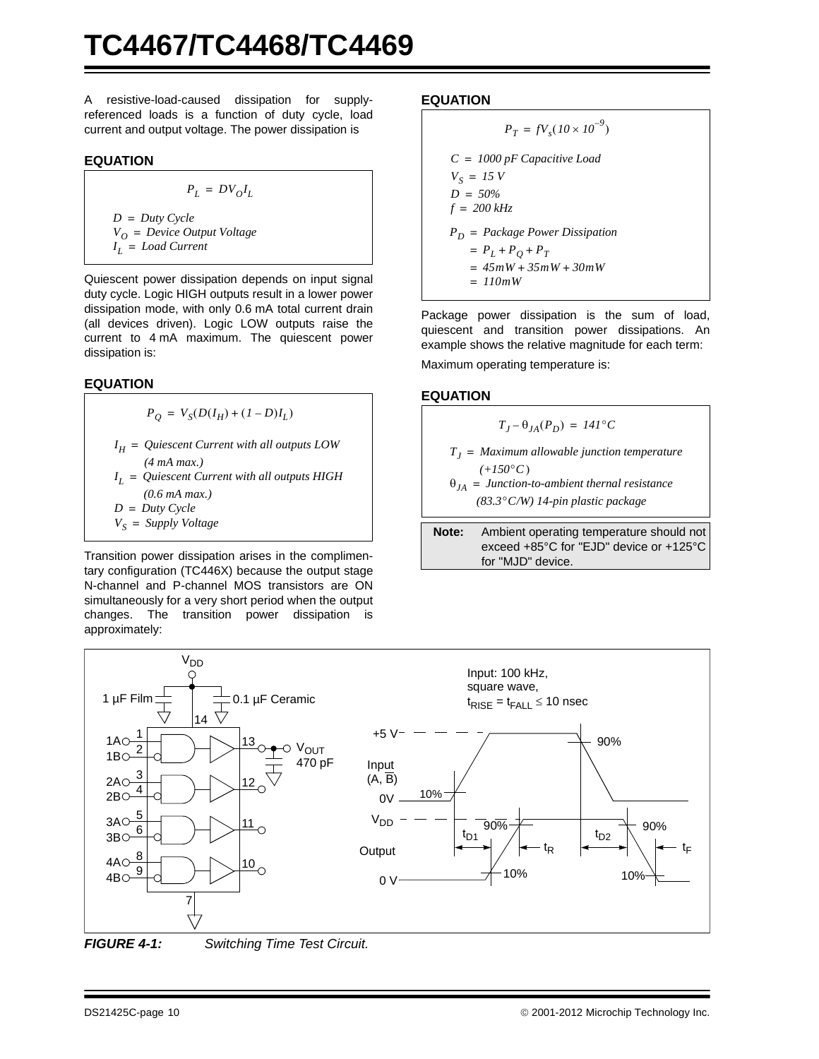A resistive-load-caused dissipation for supplyreferenced loads is a function of duty cycle, load current and output voltage. The power dissipation is

#### **EQUATION**

$$
P_L = D V_O I_L
$$

*IL* = *Load Current V*<sup>O</sup> = *Device Output Voltage*  $D = Duty$  *Cycle* 

Quiescent power dissipation depends on input signal duty cycle. Logic HIGH outputs result in a lower power dissipation mode, with only 0.6 mA total current drain (all devices driven). Logic LOW outputs raise the current to 4 mA maximum. The quiescent power dissipation is:

#### **EQUATION**

$$
P_Q = V_S(D(I_H) + (I - D)I_L)
$$

*IL* = *Quiescent Current with all outputs HIGH*  $I_H =$  *Quiescent Current with all outputs LOW*  $D = Duty$  *Cycle (4 mA max.) (0.6 mA max.)*

$$
V_S = \text{Supply Voltage}
$$

Transition power dissipation arises in the complimentary configuration (TC446X) because the output stage N-channel and P-channel MOS transistors are ON simultaneously for a very short period when the output changes. The transition power dissipation is approximately:

#### **EQUATION**

$$
P_T = fV_s(10 \times 10^{-9})
$$
  
\n
$$
C = 1000 \text{ pF Capacitive Load}
$$
  
\n
$$
V_S = 15 \text{ V}
$$
  
\n
$$
D = 50\%
$$
  
\n
$$
f = 200 \text{ kHz}
$$
  
\n
$$
P_D = Package Power Disspation
$$
  
\n
$$
= P_L + P_Q + P_T
$$
  
\n
$$
= 45mW + 35mW + 30mW
$$
  
\n
$$
= 110mW
$$

Package power dissipation is the sum of load, quiescent and transition power dissipations. An example shows the relative magnitude for each term:

Maximum operating temperature is:

#### **EQUATION**

$$
T_J - \theta_{JA}(P_D) = 141^{\circ}C
$$
  
\n
$$
T_J = Maximum \text{ allowable junction temperature}
$$
  
\n(+150°C)  
\n
$$
\theta_{JA} = \text{Junction-to-ambient thermal resistance}
$$
  
\n(83.3°C/W) 14-pin plastic package

**Note:** Ambient operating temperature should not exceed +85°C for "EJD" device or +125°C for "MJD" device.





<span id="page-9-0"></span>*FIGURE 4-1: Switching Time Test Circuit.*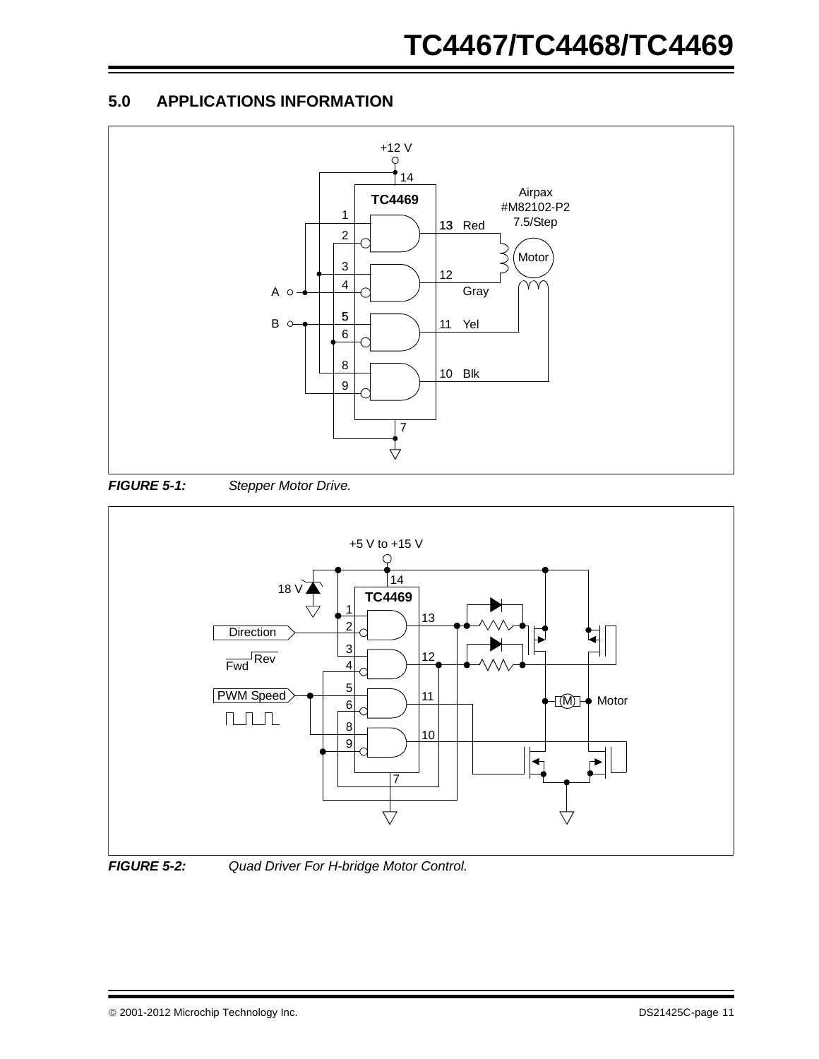## <span id="page-10-0"></span>**5.0 APPLICATIONS INFORMATION**



*FIGURE 5-1: Stepper Motor Drive.*





*FIGURE 5-2: Quad Driver For H-bridge Motor Control.*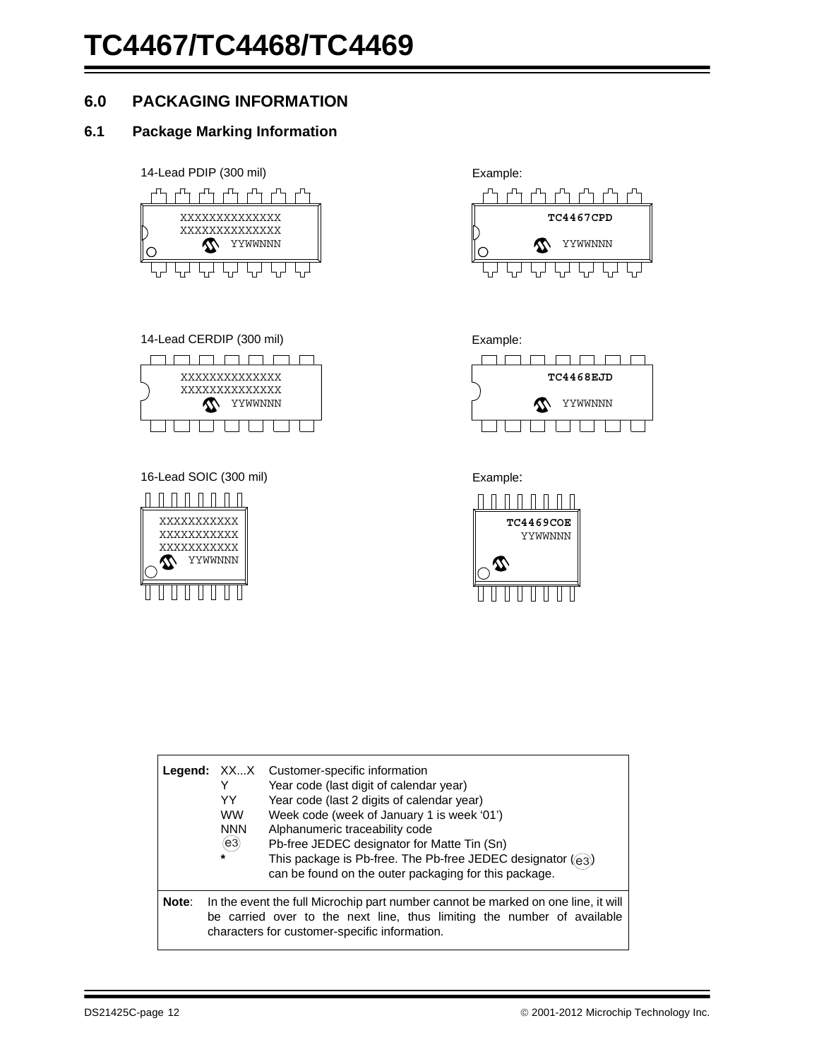## **6.0 PACKAGING INFORMATION**

### **6.1 Package Marking Information**

14-Lead PDIP (300 mil) Example:







16-Lead SOIC (300 mil) Example:









|       | Y<br>YY<br><b>WW</b><br><b>NNN</b><br>(e3)<br>$\star$ | <b>Legend:</b> XXX Customer-specific information<br>Year code (last digit of calendar year)<br>Year code (last 2 digits of calendar year)<br>Week code (week of January 1 is week '01')<br>Alphanumeric traceability code<br>Pb-free JEDEC designator for Matte Tin (Sn)<br>This package is Pb-free. The Pb-free JEDEC designator $(q_3)$<br>can be found on the outer packaging for this package. |
|-------|-------------------------------------------------------|----------------------------------------------------------------------------------------------------------------------------------------------------------------------------------------------------------------------------------------------------------------------------------------------------------------------------------------------------------------------------------------------------|
| Note: |                                                       | In the event the full Microchip part number cannot be marked on one line, it will<br>be carried over to the next line, thus limiting the number of available<br>characters for customer-specific information.                                                                                                                                                                                      |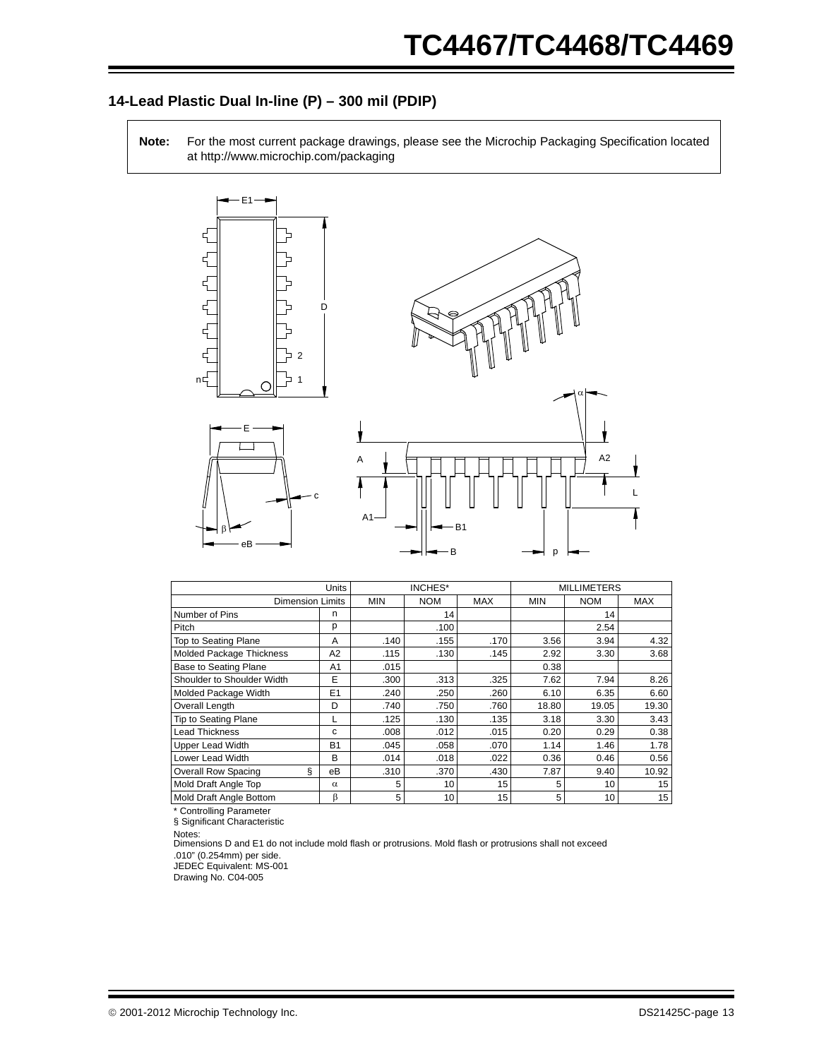### **14-Lead Plastic Dual In-line (P) – 300 mil (PDIP)**

**Note:** For the most current package drawings, please see the Microchip Packaging Specification located at http://www.microchip.com/packaging



|                                 | Units          | INCHES*    |            |            | <b>MILLIMETERS</b> |            |            |
|---------------------------------|----------------|------------|------------|------------|--------------------|------------|------------|
| <b>Dimension Limits</b>         |                | <b>MIN</b> | <b>NOM</b> | <b>MAX</b> | <b>MIN</b>         | <b>NOM</b> | <b>MAX</b> |
| Number of Pins                  | n              |            | 14         |            |                    | 14         |            |
| Pitch                           | р              |            | .100       |            |                    | 2.54       |            |
| Top to Seating Plane            | A              | .140       | .155       | .170       | 3.56               | 3.94       | 4.32       |
| <b>Molded Package Thickness</b> | A <sub>2</sub> | .115       | .130       | .145       | 2.92               | 3.30       | 3.68       |
| Base to Seating Plane           | A1             | .015       |            |            | 0.38               |            |            |
| Shoulder to Shoulder Width      | E              | .300       | .313       | .325       | 7.62               | 7.94       | 8.26       |
| Molded Package Width            | E1             | .240       | .250       | .260       | 6.10               | 6.35       | 6.60       |
| Overall Length                  | D              | .740       | .750       | .760       | 18.80              | 19.05      | 19.30      |
| <b>Tip to Seating Plane</b>     | L              | .125       | .130       | .135       | 3.18               | 3.30       | 3.43       |
| <b>Lead Thickness</b>           | с              | .008       | .012       | .015       | 0.20               | 0.29       | 0.38       |
| <b>Upper Lead Width</b>         | <b>B1</b>      | .045       | .058       | .070       | 1.14               | 1.46       | 1.78       |
| Lower Lead Width                | B              | .014       | .018       | .022       | 0.36               | 0.46       | 0.56       |
| ş<br><b>Overall Row Spacing</b> | eВ             | .310       | .370       | .430       | 7.87               | 9.40       | 10.92      |
| Mold Draft Angle Top            | $\alpha$       | 5          | 10         | 15         | 5                  | 10         | 15         |
| Mold Draft Angle Bottom         | β              | 5          | 10         | 15         | 5                  | 10         | 15         |

\* Controlling Parameter

§ Significant Characteristic

Notes:

Dimensions D and E1 do not include mold flash or protrusions. Mold flash or protrusions shall not exceed .010" (0.254mm) per side.

JEDEC Equivalent: MS-001

Drawing No. C04-005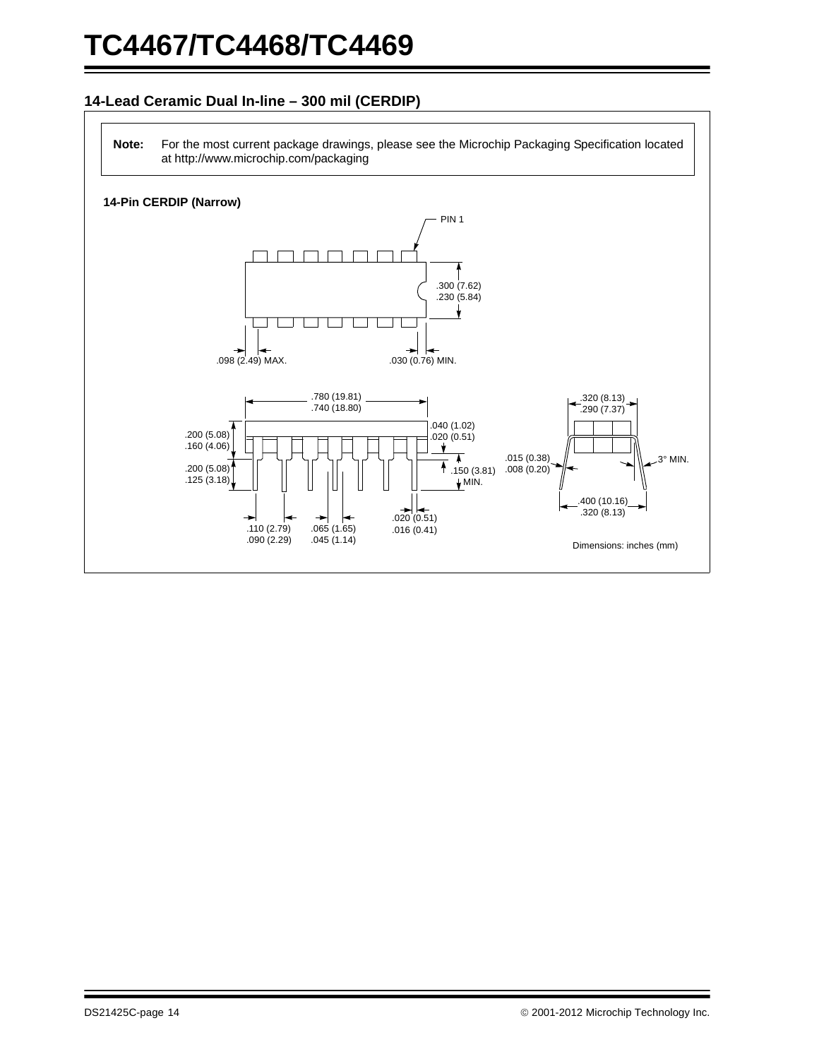#### **14-Lead Ceramic Dual In-line – 300 mil (CERDIP)**

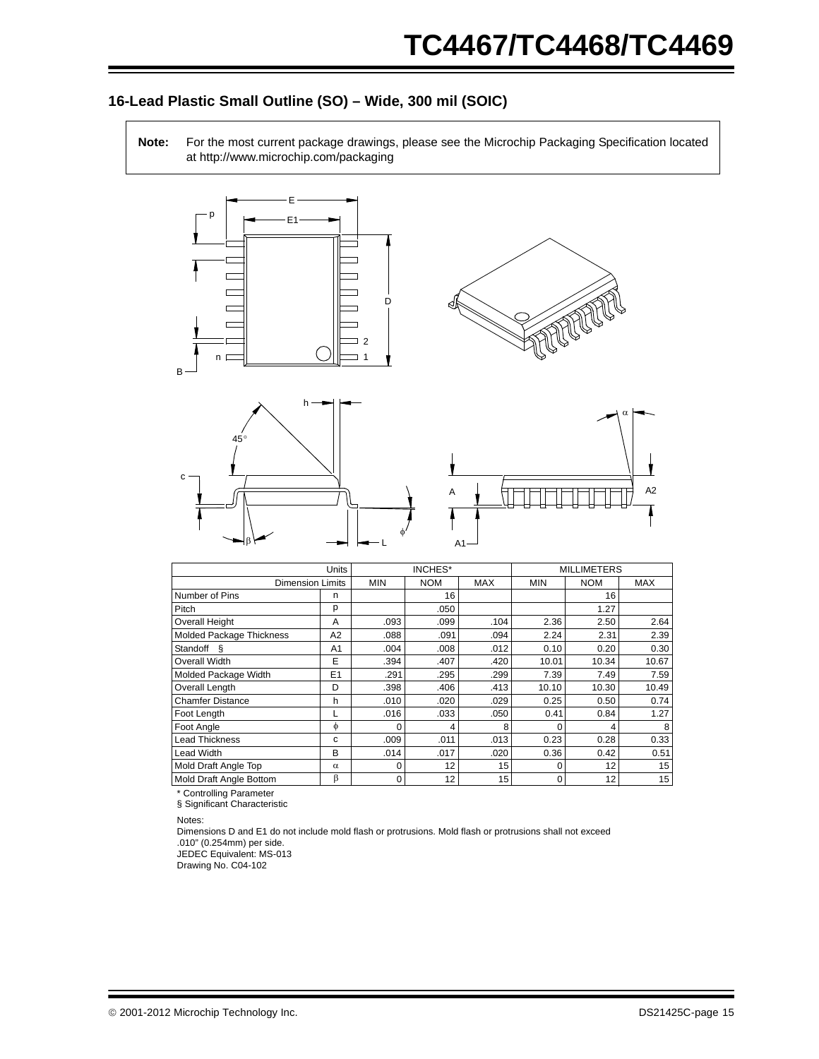### **16-Lead Plastic Small Outline (SO) – Wide, 300 mil (SOIC)**

**Note:** For the most current package drawings, please see the Microchip Packaging Specification located at http://www.microchip.com/packaging









|                                 | Units          | <b>INCHES*</b> |            |            | <b>MILLIMETERS</b> |            |            |
|---------------------------------|----------------|----------------|------------|------------|--------------------|------------|------------|
| <b>Dimension Limits</b>         |                | <b>MIN</b>     | <b>NOM</b> | <b>MAX</b> | <b>MIN</b>         | <b>NOM</b> | <b>MAX</b> |
| Number of Pins                  | n              |                | 16         |            |                    | 16         |            |
| Pitch                           | p              |                | .050       |            |                    | 1.27       |            |
| <b>Overall Height</b>           | A              | .093           | .099       | .104       | 2.36               | 2.50       | 2.64       |
| <b>Molded Package Thickness</b> | A2             | .088           | .091       | .094       | 2.24               | 2.31       | 2.39       |
| Standoff §                      | A <sub>1</sub> | .004           | .008       | .012       | 0.10               | 0.20       | 0.30       |
| Overall Width                   | E              | .394           | .407       | .420       | 10.01              | 10.34      | 10.67      |
| Molded Package Width            | E1             | .291           | .295       | .299       | 7.39               | 7.49       | 7.59       |
| Overall Length                  | D              | .398           | .406       | .413       | 10.10              | 10.30      | 10.49      |
| <b>Chamfer Distance</b>         | h              | .010           | .020       | .029       | 0.25               | 0.50       | 0.74       |
| Foot Length                     |                | .016           | .033       | .050       | 0.41               | 0.84       | 1.27       |
| Foot Angle                      | $\phi$         | 0              | 4          | 8          | $\Omega$           | 4          | 8          |
| <b>Lead Thickness</b>           | C              | .009           | .011       | .013       | 0.23               | 0.28       | 0.33       |
| Lead Width                      | в              | .014           | .017       | .020       | 0.36               | 0.42       | 0.51       |
| Mold Draft Angle Top            | $\alpha$       | 0              | 12         | 15         | $\Omega$           | 12         | 15         |
| Mold Draft Angle Bottom         | β              | 0              | 12         | 15         | 0                  | 12         | 15         |

\* Controlling Parameter

§ Significant Characteristic

Notes:

Dimensions D and E1 do not include mold flash or protrusions. Mold flash or protrusions shall not exceed .010" (0.254mm) per side.

JEDEC Equivalent: MS-013

Drawing No. C04-102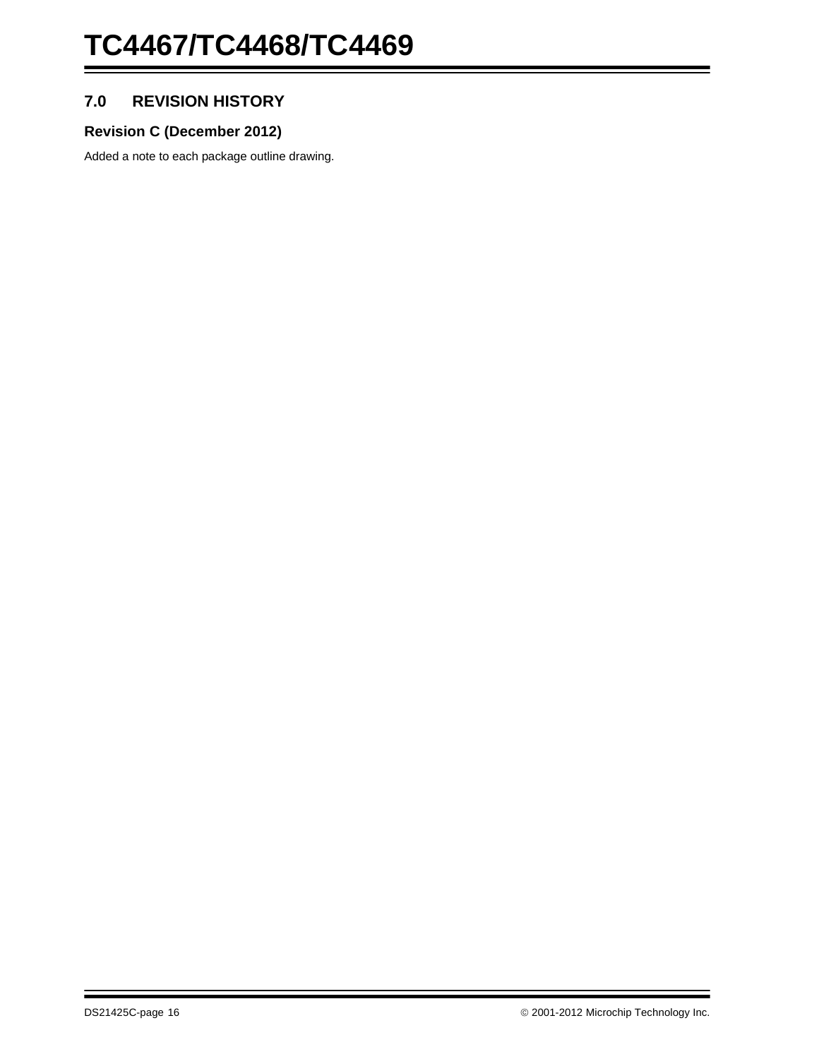## **7.0 REVISION HISTORY**

## **Revision C (December 2012)**

Added a note to each package outline drawing.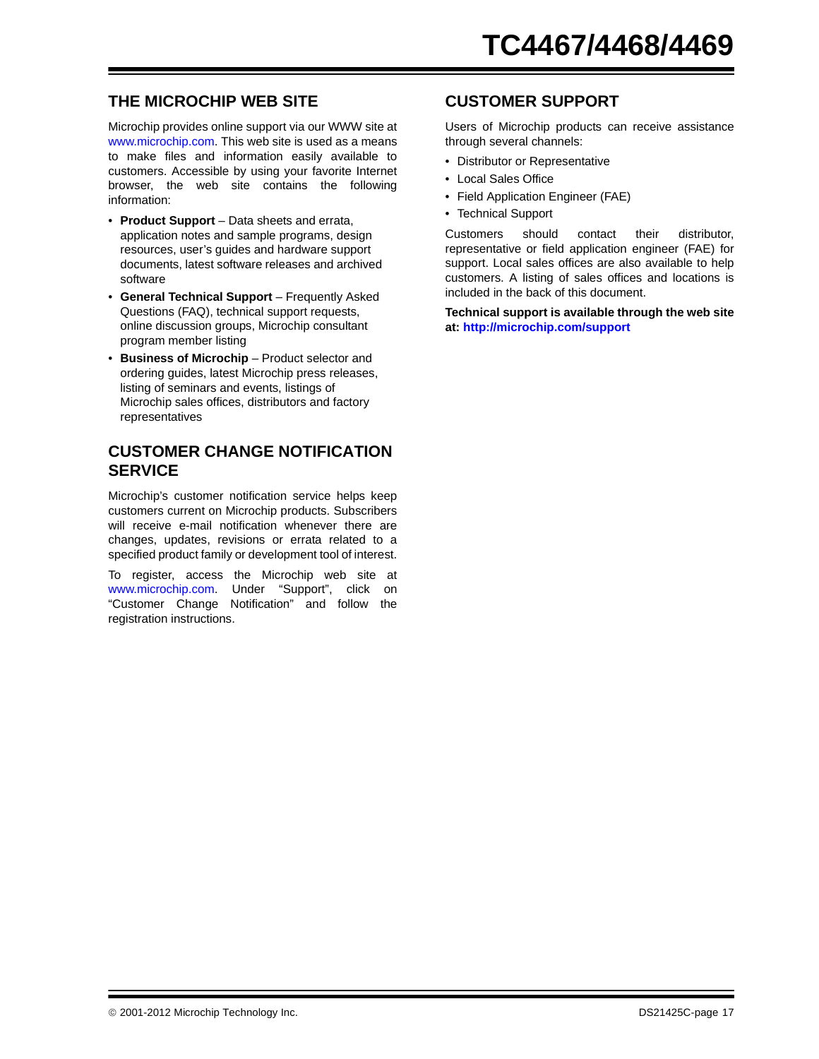## **THE MICROCHIP WEB SITE**

[Microchip provides online support via our WWW site at](http://www.microchip.com) www.microchip.com. This web site is used as a means to make files and information easily available to customers. Accessible by using your favorite Internet browser, the web site contains the following information:

- **Product Support** Data sheets and errata, application notes and sample programs, design resources, user's guides and hardware support documents, latest software releases and archived software
- **General Technical Support** Frequently Asked Questions (FAQ), technical support requests, online discussion groups, Microchip consultant program member listing
- **Business of Microchip** Product selector and ordering guides, latest Microchip press releases, listing of seminars and events, listings of Microchip sales offices, distributors and factory representatives

## **CUSTOMER CHANGE NOTIFICATION SERVICE**

Microchip's customer notification service helps keep customers current on Microchip products. Subscribers will receive e-mail notification whenever there are changes, updates, revisions or errata related to a specified product family or development tool of interest.

[To register, access the Microchip web site at](http://www.microchip.com) www.microchip.com. Under "Support", click on "Customer Change Notification" and follow the registration instructions.

## **CUSTOMER SUPPORT**

Users of Microchip products can receive assistance through several channels:

- Distributor or Representative
- Local Sales Office
- Field Application Engineer (FAE)
- Technical Support

Customers should contact their distributor, representative or field application engineer (FAE) for support. Local sales offices are also available to help customers. A listing of sales offices and locations is included in the back of this document.

**[Technical support is available through the web site](http://www.microchip.com) [at:](http://www.microchip.com) http://microchip.com/support**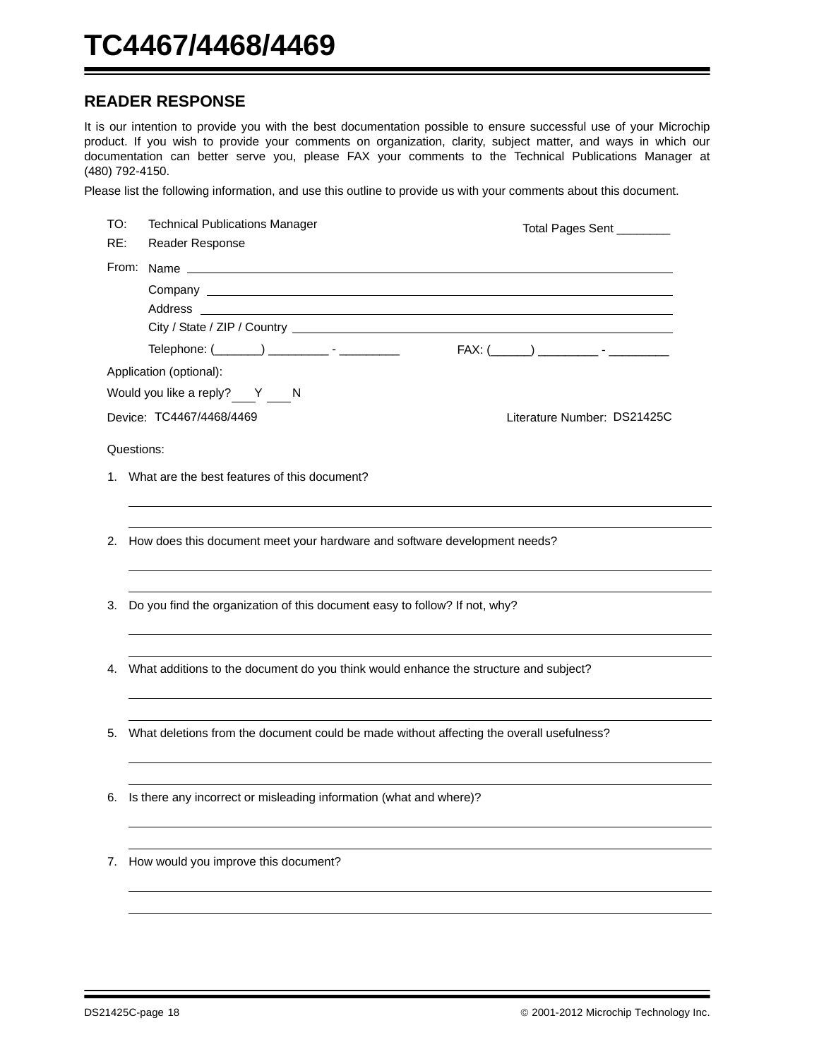#### **READER RESPONSE**

It is our intention to provide you with the best documentation possible to ensure successful use of your Microchip product. If you wish to provide your comments on organization, clarity, subject matter, and ways in which our documentation can better serve you, please FAX your comments to the Technical Publications Manager at (480) 792-4150.

Please list the following information, and use this outline to provide us with your comments about this document.

| TO:<br>RE: | <b>Technical Publications Manager</b><br><b>Reader Response</b>                          | Total Pages Sent ________   |
|------------|------------------------------------------------------------------------------------------|-----------------------------|
|            |                                                                                          |                             |
|            |                                                                                          |                             |
|            |                                                                                          |                             |
|            |                                                                                          |                             |
|            | Telephone: (________) ___________ - ___________                                          |                             |
|            | Application (optional):                                                                  |                             |
|            | Would you like a reply? Y N                                                              |                             |
|            | Device: TC4467/4468/4469                                                                 | Literature Number: DS21425C |
|            | Questions:                                                                               |                             |
|            | 1. What are the best features of this document?                                          |                             |
|            |                                                                                          |                             |
|            |                                                                                          |                             |
|            | 2. How does this document meet your hardware and software development needs?             |                             |
|            |                                                                                          |                             |
| З.         | Do you find the organization of this document easy to follow? If not, why?               |                             |
|            |                                                                                          |                             |
|            |                                                                                          |                             |
| 4.         | What additions to the document do you think would enhance the structure and subject?     |                             |
|            |                                                                                          |                             |
|            |                                                                                          |                             |
| 5.         | What deletions from the document could be made without affecting the overall usefulness? |                             |
|            |                                                                                          |                             |
|            |                                                                                          |                             |
|            | 6. Is there any incorrect or misleading information (what and where)?                    |                             |
|            |                                                                                          |                             |
| 7.         | How would you improve this document?                                                     |                             |
|            |                                                                                          |                             |
|            |                                                                                          |                             |
|            |                                                                                          |                             |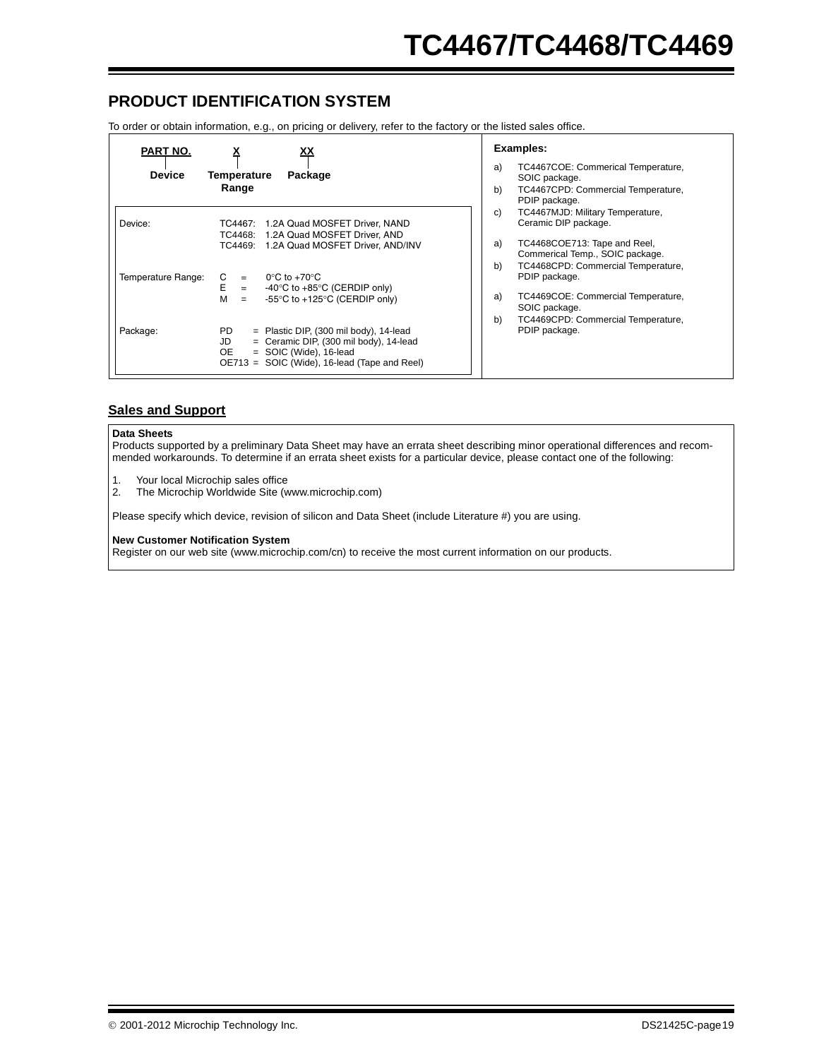## **PRODUCT IDENTIFICATION SYSTEM**

To order or obtain information, e.g., on pricing or delivery, refer to the factory or the listed sales office.

| PART NO.           | <u>^</u>                                                                                                                                                                             | <b>Examples:</b>                                                      |
|--------------------|--------------------------------------------------------------------------------------------------------------------------------------------------------------------------------------|-----------------------------------------------------------------------|
| <b>Device</b>      | Temperature<br>Package                                                                                                                                                               | a)<br>TC4467COE: Commerical Temperature,<br>SOIC package.             |
|                    | Range                                                                                                                                                                                | b)<br>TC4467CPD: Commercial Temperature,<br>PDIP package.             |
| Device:            | TC4467: 1.2A Quad MOSFET Driver, NAND<br>TC4468: 1.2A Quad MOSFET Driver, AND                                                                                                        | C)<br>TC4467MJD: Military Temperature,<br>Ceramic DIP package.        |
|                    | TC4469: 1.2A Quad MOSFET Driver, AND/INV                                                                                                                                             | TC4468COE713: Tape and Reel,<br>a)<br>Commerical Temp., SOIC package. |
| Temperature Range: | $0^{\circ}$ C to +70 $^{\circ}$ C<br>C<br>$=$<br>E<br>-40 $\degree$ C to +85 $\degree$ C (CERDIP only)<br>$=$                                                                        | b)<br>TC4468CPD: Commercial Temperature,<br>PDIP package.             |
|                    | м<br>-55°C to +125°C (CERDIP only)<br>$=$                                                                                                                                            | TC4469COE: Commercial Temperature,<br>a)<br>SOIC package.             |
| Package:           | PD.<br>$=$ Plastic DIP, (300 mil body), 14-lead<br>$=$ Ceramic DIP, (300 mil body), 14-lead<br>JD<br>$=$ SOIC (Wide), 16-lead<br>OE.<br>OE713 = SOIC (Wide), 16-lead (Tape and Reel) | b)<br>TC4469CPD: Commercial Temperature,<br>PDIP package.             |

#### **Sales and Support**

#### **Data Sheets**

Products supported by a preliminary Data Sheet may have an errata sheet describing minor operational differences and recommended workarounds. To determine if an errata sheet exists for a particular device, please contact one of the following:

- 1. Your local Microchip sales office<br>2. The Microchip Worldwide Site (w
- 2. The Microchip Worldwide Site (www.microchip.com)

Please specify which device, revision of silicon and Data Sheet (include Literature #) you are using.

#### **New Customer Notification System**

Register on our web site (www.microchip.com/cn) to receive the most current information on our products.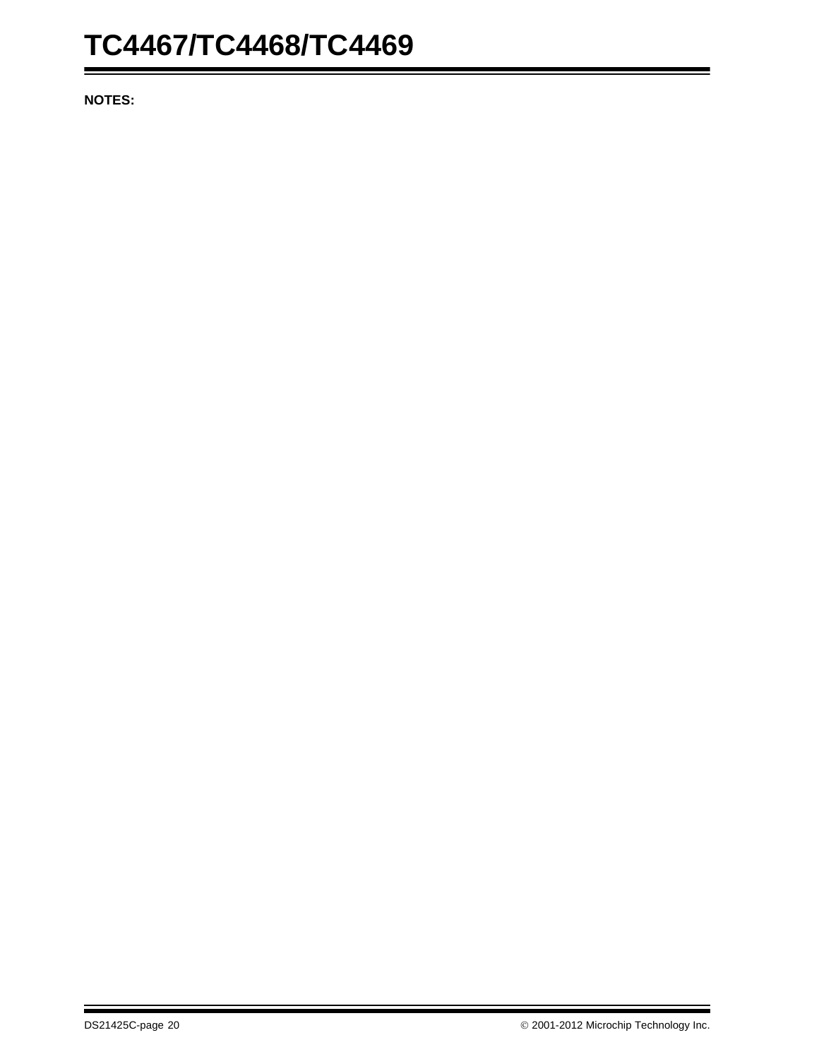**NOTES:**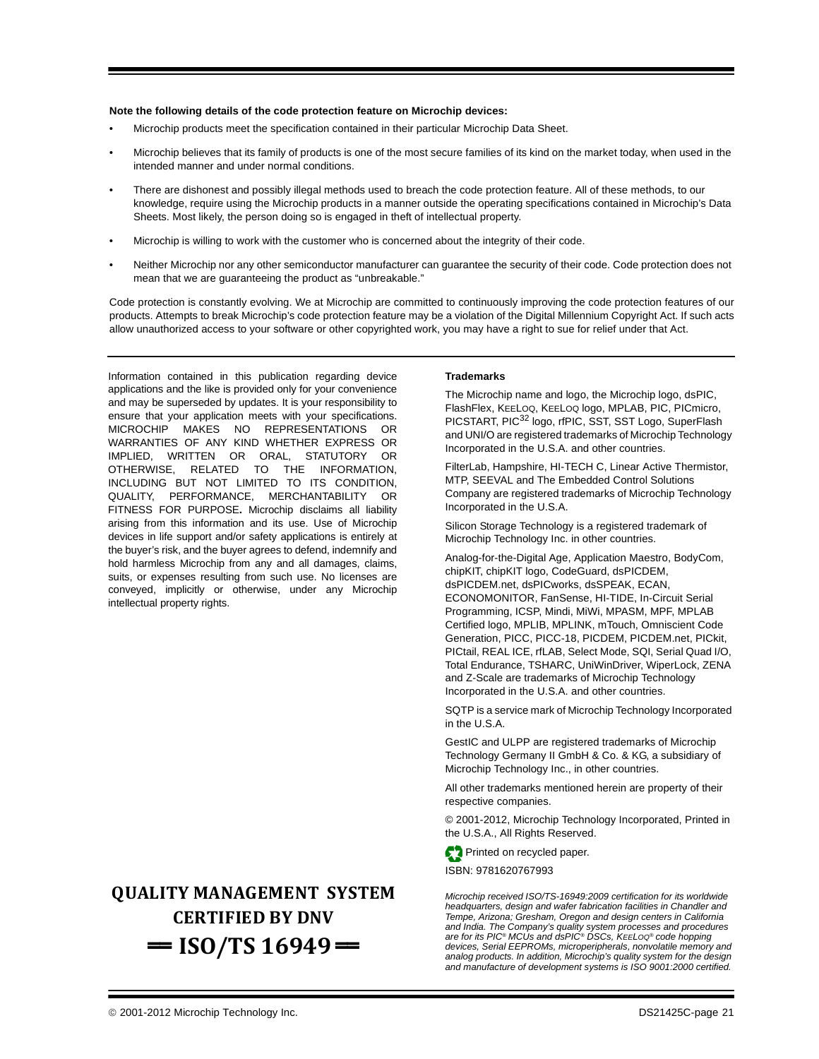#### **Note the following details of the code protection feature on Microchip devices:**

- Microchip products meet the specification contained in their particular Microchip Data Sheet.
- Microchip believes that its family of products is one of the most secure families of its kind on the market today, when used in the intended manner and under normal conditions.
- There are dishonest and possibly illegal methods used to breach the code protection feature. All of these methods, to our knowledge, require using the Microchip products in a manner outside the operating specifications contained in Microchip's Data Sheets. Most likely, the person doing so is engaged in theft of intellectual property.
- Microchip is willing to work with the customer who is concerned about the integrity of their code.
- Neither Microchip nor any other semiconductor manufacturer can guarantee the security of their code. Code protection does not mean that we are guaranteeing the product as "unbreakable."

Code protection is constantly evolving. We at Microchip are committed to continuously improving the code protection features of our products. Attempts to break Microchip's code protection feature may be a violation of the Digital Millennium Copyright Act. If such acts allow unauthorized access to your software or other copyrighted work, you may have a right to sue for relief under that Act.

Information contained in this publication regarding device applications and the like is provided only for your convenience and may be superseded by updates. It is your responsibility to ensure that your application meets with your specifications. MICROCHIP MAKES NO REPRESENTATIONS OR WARRANTIES OF ANY KIND WHETHER EXPRESS OR IMPLIED, WRITTEN OR ORAL, STATUTORY OR OTHERWISE, RELATED TO THE INFORMATION, INCLUDING BUT NOT LIMITED TO ITS CONDITION, QUALITY, PERFORMANCE, MERCHANTABILITY OR FITNESS FOR PURPOSE**.** Microchip disclaims all liability arising from this information and its use. Use of Microchip devices in life support and/or safety applications is entirely at the buyer's risk, and the buyer agrees to defend, indemnify and hold harmless Microchip from any and all damages, claims, suits, or expenses resulting from such use. No licenses are conveyed, implicitly or otherwise, under any Microchip intellectual property rights.

## **QUALITY MANAGEMENT SYSTEM CERTIFIED BY DNV**   $=$  **ISO/TS 16949** $=$

#### **Trademarks**

The Microchip name and logo, the Microchip logo, dsPIC, FlashFlex, KEELOQ, KEELOQ logo, MPLAB, PIC, PICmicro, PICSTART, PIC<sup>32</sup> logo, rfPIC, SST, SST Logo, SuperFlash and UNI/O are registered trademarks of Microchip Technology Incorporated in the U.S.A. and other countries.

FilterLab, Hampshire, HI-TECH C, Linear Active Thermistor, MTP, SEEVAL and The Embedded Control Solutions Company are registered trademarks of Microchip Technology Incorporated in the U.S.A.

Silicon Storage Technology is a registered trademark of Microchip Technology Inc. in other countries.

Analog-for-the-Digital Age, Application Maestro, BodyCom, chipKIT, chipKIT logo, CodeGuard, dsPICDEM, dsPICDEM.net, dsPICworks, dsSPEAK, ECAN, ECONOMONITOR, FanSense, HI-TIDE, In-Circuit Serial Programming, ICSP, Mindi, MiWi, MPASM, MPF, MPLAB Certified logo, MPLIB, MPLINK, mTouch, Omniscient Code Generation, PICC, PICC-18, PICDEM, PICDEM.net, PICkit, PICtail, REAL ICE, rfLAB, Select Mode, SQI, Serial Quad I/O, Total Endurance, TSHARC, UniWinDriver, WiperLock, ZENA and Z-Scale are trademarks of Microchip Technology Incorporated in the U.S.A. and other countries.

SQTP is a service mark of Microchip Technology Incorporated in the U.S.A.

GestIC and ULPP are registered trademarks of Microchip Technology Germany II GmbH & Co. & KG, a subsidiary of Microchip Technology Inc., in other countries.

All other trademarks mentioned herein are property of their respective companies.

© 2001-2012, Microchip Technology Incorporated, Printed in the U.S.A., All Rights Reserved.

Printed on recycled paper.

ISBN: 9781620767993

*Microchip received ISO/TS-16949:2009 certification for its worldwide headquarters, design and wafer fabrication facilities in Chandler and Tempe, Arizona; Gresham, Oregon and design centers in California and India. The Company's quality system processes and procedures are for its PIC® MCUs and dsPIC® DSCs, KEELOQ® code hopping devices, Serial EEPROMs, microperipherals, nonvolatile memory and analog products. In addition, Microchip's quality system for the design and manufacture of development systems is ISO 9001:2000 certified.*